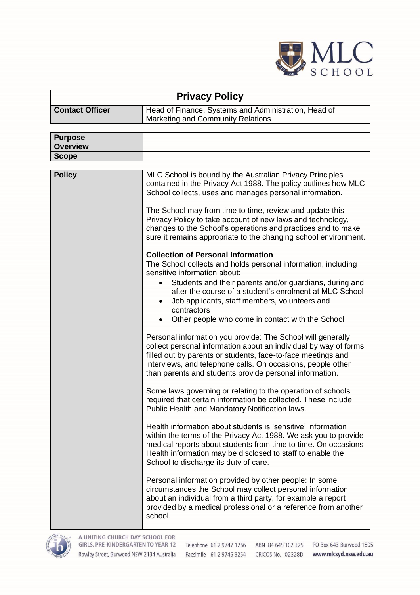

| <b>Privacy Policy</b>  |                                                                                           |  |  |
|------------------------|-------------------------------------------------------------------------------------------|--|--|
| <b>Contact Officer</b> | Head of Finance, Systems and Administration, Head of<br>Marketing and Community Relations |  |  |
|                        |                                                                                           |  |  |

| <b>Purpose</b>  |                                                                                                                                                                                                                                                                                                                           |
|-----------------|---------------------------------------------------------------------------------------------------------------------------------------------------------------------------------------------------------------------------------------------------------------------------------------------------------------------------|
| <b>Overview</b> |                                                                                                                                                                                                                                                                                                                           |
| <b>Scope</b>    |                                                                                                                                                                                                                                                                                                                           |
|                 |                                                                                                                                                                                                                                                                                                                           |
| <b>Policy</b>   | MLC School is bound by the Australian Privacy Principles<br>contained in the Privacy Act 1988. The policy outlines how MLC<br>School collects, uses and manages personal information.                                                                                                                                     |
|                 | The School may from time to time, review and update this<br>Privacy Policy to take account of new laws and technology,<br>changes to the School's operations and practices and to make<br>sure it remains appropriate to the changing school environment.                                                                 |
|                 | <b>Collection of Personal Information</b>                                                                                                                                                                                                                                                                                 |
|                 | The School collects and holds personal information, including<br>sensitive information about:                                                                                                                                                                                                                             |
|                 | Students and their parents and/or guardians, during and<br>$\bullet$<br>after the course of a student's enrolment at MLC School<br>Job applicants, staff members, volunteers and<br>٠<br>contractors                                                                                                                      |
|                 | Other people who come in contact with the School<br>$\bullet$                                                                                                                                                                                                                                                             |
|                 | Personal information you provide: The School will generally<br>collect personal information about an individual by way of forms<br>filled out by parents or students, face-to-face meetings and<br>interviews, and telephone calls. On occasions, people other<br>than parents and students provide personal information. |
|                 | Some laws governing or relating to the operation of schools<br>required that certain information be collected. These include<br>Public Health and Mandatory Notification laws.                                                                                                                                            |
|                 | Health information about students is 'sensitive' information<br>within the terms of the Privacy Act 1988. We ask you to provide<br>medical reports about students from time to time. On occasions<br>Health information may be disclosed to staff to enable the<br>School to discharge its duty of care.                  |
|                 | Personal information provided by other people: In some<br>circumstances the School may collect personal information<br>about an individual from a third party, for example a report<br>provided by a medical professional or a reference from another<br>school.                                                          |

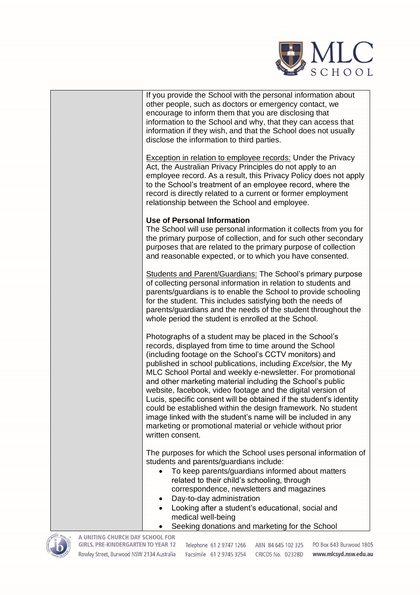

If you provide the School with the personal information about other people, such as doctors or emergency contact, we encourage to inform them that you are disclosing that information to the School and why, that they can access that information if they wish, and that the School does not usually disclose the information to third parties.

Exception in relation to employee records: Under the Privacy Act, the Australian Privacy Principles do not apply to an employee record. As a result, this Privacy Policy does not apply to the School's treatment of an employee record, where the record is directly related to a current or former employment relationship between the School and employee.

## **Use of Personal Information**

The School will use personal information it collects from you for the primary purpose of collection, and for such other secondary purposes that are related to the primary purpose of collection and reasonable expected, or to which you have consented.

Students and Parent/Guardians: The School's primary purpose of collecting personal information in relation to students and parents/guardians is to enable the School to provide schooling for the student. This includes satisfying both the needs of parents/guardians and the needs of the student throughout the whole period the student is enrolled at the School.

Photographs of a student may be placed in the School's records, displayed from time to time around the School (including footage on the School's CCTV monitors) and published in school publications, including *Excelsior*, the My MLC School Portal and weekly e-newsletter. For promotional and other marketing material including the School's public website, facebook, video footage and the digital version of Lucis, specific consent will be obtained if the student's identity could be established within the design framework. No student image linked with the student's name will be included in any marketing or promotional material or vehicle without prior written consent.

The purposes for which the School uses personal information of students and parents/guardians include:

- To keep parents/guardians informed about matters related to their child's schooling, through correspondence, newsletters and magazines
- Day-to-day administration
- Looking after a student's educational, social and medical well-being
	- Seeking donations and marketing for the School



A UNITING CHURCH DAY SCHOOL FOR **GIRLS, PRE-KINDERGARTEN TO YEAR 12** Rowley Street, Burwood NSW 2134 Australia Facsimile 61 2 9745 3254 CRICOS No. 02328D

Telephone 61 2 9747 1266 ABN 84 645 102 325

PO Box 643 Burwood 1805 www.mlcsyd.nsw.edu.au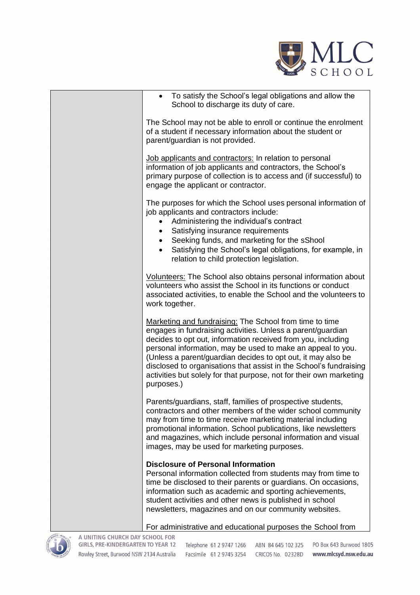

| To satisfy the School's legal obligations and allow the<br>$\bullet$<br>School to discharge its duty of care.                                                                                                                                                                                                                                                                                                                                                                    |
|----------------------------------------------------------------------------------------------------------------------------------------------------------------------------------------------------------------------------------------------------------------------------------------------------------------------------------------------------------------------------------------------------------------------------------------------------------------------------------|
| The School may not be able to enroll or continue the enrolment<br>of a student if necessary information about the student or<br>parent/guardian is not provided.                                                                                                                                                                                                                                                                                                                 |
| Job applicants and contractors: In relation to personal<br>information of job applicants and contractors, the School's<br>primary purpose of collection is to access and (if successful) to<br>engage the applicant or contractor.                                                                                                                                                                                                                                               |
| The purposes for which the School uses personal information of<br>job applicants and contractors include:<br>Administering the individual's contract<br>Satisfying insurance requirements                                                                                                                                                                                                                                                                                        |
| Seeking funds, and marketing for the sShool<br>$\bullet$<br>Satisfying the School's legal obligations, for example, in<br>$\bullet$<br>relation to child protection legislation.                                                                                                                                                                                                                                                                                                 |
| Volunteers: The School also obtains personal information about<br>volunteers who assist the School in its functions or conduct<br>associated activities, to enable the School and the volunteers to<br>work together.                                                                                                                                                                                                                                                            |
| Marketing and fundraising: The School from time to time<br>engages in fundraising activities. Unless a parent/guardian<br>decides to opt out, information received from you, including<br>personal information, may be used to make an appeal to you.<br>(Unless a parent/guardian decides to opt out, it may also be<br>disclosed to organisations that assist in the School's fundraising<br>activities but solely for that purpose, not for their own marketing<br>purposes.) |
| Parents/guardians, staff, families of prospective students,<br>contractors and other members of the wider school community<br>may from time to time receive marketing material including<br>promotional information. School publications, like newsletters<br>and magazines, which include personal information and visual<br>images, may be used for marketing purposes.                                                                                                        |
| <b>Disclosure of Personal Information</b><br>Personal information collected from students may from time to<br>time be disclosed to their parents or guardians. On occasions,<br>information such as academic and sporting achievements,<br>student activities and other news is published in school<br>newsletters, magazines and on our community websites.                                                                                                                     |
| For administrative and educational purposes the School from                                                                                                                                                                                                                                                                                                                                                                                                                      |



A UNITING CHURCH DAY SCHOOL FOR GIRLS, PRE-KINDERGARTEN TO YEAR 12 Rowley Street, Burwood NSW 2134 Australia

PO Box 643 Burwood 1805 Telephone 61 2 9747 1266 ABN 84 645 102 325 Facsimile 61 2 9745 3254 CRICOS No. 02328D

www.mlcsyd.nsw.edu.au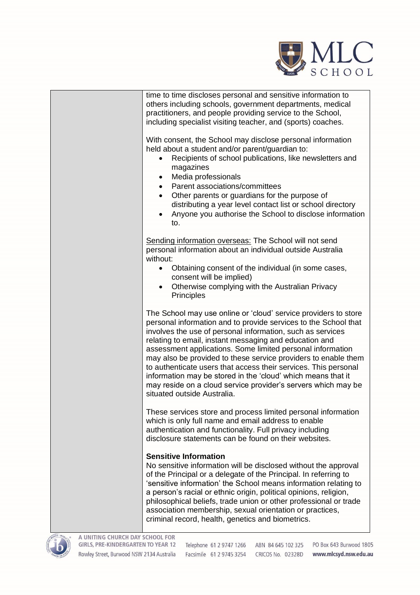

| time to time discloses personal and sensitive information to<br>others including schools, government departments, medical<br>practitioners, and people providing service to the School,<br>including specialist visiting teacher, and (sports) coaches.                                                                                                                                                                                                                                                                                                                                                                       |
|-------------------------------------------------------------------------------------------------------------------------------------------------------------------------------------------------------------------------------------------------------------------------------------------------------------------------------------------------------------------------------------------------------------------------------------------------------------------------------------------------------------------------------------------------------------------------------------------------------------------------------|
| With consent, the School may disclose personal information<br>held about a student and/or parent/guardian to:<br>Recipients of school publications, like newsletters and<br>$\bullet$<br>magazines<br>Media professionals<br>$\bullet$<br>Parent associations/committees<br>Other parents or guardians for the purpose of<br>distributing a year level contact list or school directory<br>Anyone you authorise the School to disclose information<br>to.                                                                                                                                                                     |
| Sending information overseas: The School will not send<br>personal information about an individual outside Australia<br>without:<br>Obtaining consent of the individual (in some cases,<br>$\bullet$<br>consent will be implied)<br>Otherwise complying with the Australian Privacy<br>Principles                                                                                                                                                                                                                                                                                                                             |
| The School may use online or 'cloud' service providers to store<br>personal information and to provide services to the School that<br>involves the use of personal information, such as services<br>relating to email, instant messaging and education and<br>assessment applications. Some limited personal information<br>may also be provided to these service providers to enable them<br>to authenticate users that access their services. This personal<br>information may be stored in the 'cloud' which means that it<br>may reside on a cloud service provider's servers which may be<br>situated outside Australia. |
| These services store and process limited personal information<br>which is only full name and email address to enable<br>authentication and functionality. Full privacy including<br>disclosure statements can be found on their websites.                                                                                                                                                                                                                                                                                                                                                                                     |
| <b>Sensitive Information</b><br>No sensitive information will be disclosed without the approval<br>of the Principal or a delegate of the Principal. In referring to<br>'sensitive information' the School means information relating to<br>a person's racial or ethnic origin, political opinions, religion,                                                                                                                                                                                                                                                                                                                  |

philosophical beliefs, trade union or other professional or trade association membership, sexual orientation or practices, criminal record, health, genetics and biometrics.



A UNITING CHURCH DAY SCHOOL FOR GIRLS, PRE-KINDERGARTEN TO YEAR 12 Rowley Street, Burwood NSW 2134 Australia

PO Box 643 Burwood 1805 Telephone 61 2 9747 1266 ABN 84 645 102 325 Facsimile 61 2 9745 3254 CRICOS No. 02328D www.mlcsyd.nsw.edu.au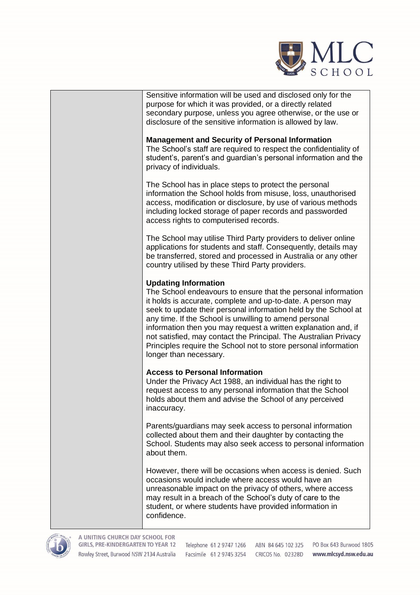

Sensitive information will be used and disclosed only for the purpose for which it was provided, or a directly related secondary purpose, unless you agree otherwise, or the use or disclosure of the sensitive information is allowed by law.

## **Management and Security of Personal Information**

The School's staff are required to respect the confidentiality of student's, parent's and guardian's personal information and the privacy of individuals.

The School has in place steps to protect the personal information the School holds from misuse, loss, unauthorised access, modification or disclosure, by use of various methods including locked storage of paper records and passworded access rights to computerised records.

The School may utilise Third Party providers to deliver online applications for students and staff. Consequently, details may be transferred, stored and processed in Australia or any other country utilised by these Third Party providers.

## **Updating Information**

The School endeavours to ensure that the personal information it holds is accurate, complete and up-to-date. A person may seek to update their personal information held by the School at any time. If the School is unwilling to amend personal information then you may request a written explanation and, if not satisfied, may contact the Principal. The Australian Privacy Principles require the School not to store personal information longer than necessary.

## **Access to Personal Information**

Under the Privacy Act 1988, an individual has the right to request access to any personal information that the School holds about them and advise the School of any perceived inaccuracy.

Parents/guardians may seek access to personal information collected about them and their daughter by contacting the School. Students may also seek access to personal information about them.

However, there will be occasions when access is denied. Such occasions would include where access would have an unreasonable impact on the privacy of others, where access may result in a breach of the School's duty of care to the student, or where students have provided information in confidence.



A UNITING CHURCH DAY SCHOOL FOR GIRLS, PRE-KINDERGARTEN TO YEAR 12 Rowley Street, Burwood NSW 2134 Australia Facsimile 61 2 9745 3254 CRICOS No. 02328D www.mlcsyd.nsw.edu.au

Telephone 61 2 9747 1266 ABN 84 645 102 325

PO Box 643 Burwood 1805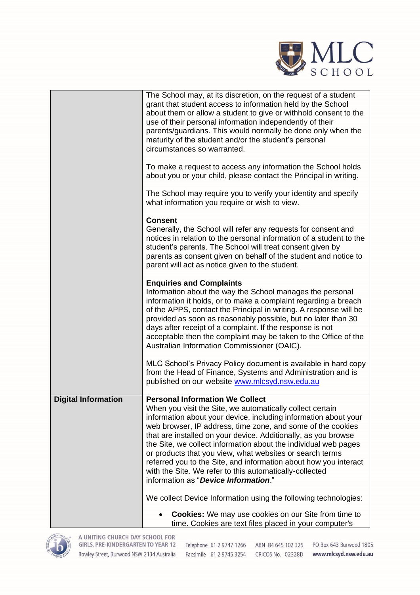

|                            | The School may, at its discretion, on the request of a student<br>grant that student access to information held by the School<br>about them or allow a student to give or withhold consent to the                                                                                                                                                                                                                                                                                                                                                                   |
|----------------------------|---------------------------------------------------------------------------------------------------------------------------------------------------------------------------------------------------------------------------------------------------------------------------------------------------------------------------------------------------------------------------------------------------------------------------------------------------------------------------------------------------------------------------------------------------------------------|
|                            | use of their personal information independently of their<br>parents/guardians. This would normally be done only when the<br>maturity of the student and/or the student's personal                                                                                                                                                                                                                                                                                                                                                                                   |
|                            | circumstances so warranted.                                                                                                                                                                                                                                                                                                                                                                                                                                                                                                                                         |
|                            | To make a request to access any information the School holds<br>about you or your child, please contact the Principal in writing.                                                                                                                                                                                                                                                                                                                                                                                                                                   |
|                            | The School may require you to verify your identity and specify<br>what information you require or wish to view.                                                                                                                                                                                                                                                                                                                                                                                                                                                     |
|                            | <b>Consent</b>                                                                                                                                                                                                                                                                                                                                                                                                                                                                                                                                                      |
|                            | Generally, the School will refer any requests for consent and<br>notices in relation to the personal information of a student to the<br>student's parents. The School will treat consent given by<br>parents as consent given on behalf of the student and notice to<br>parent will act as notice given to the student.                                                                                                                                                                                                                                             |
|                            |                                                                                                                                                                                                                                                                                                                                                                                                                                                                                                                                                                     |
|                            | <b>Enquiries and Complaints</b><br>Information about the way the School manages the personal                                                                                                                                                                                                                                                                                                                                                                                                                                                                        |
|                            | information it holds, or to make a complaint regarding a breach<br>of the APPS, contact the Principal in writing. A response will be<br>provided as soon as reasonably possible, but no later than 30<br>days after receipt of a complaint. If the response is not<br>acceptable then the complaint may be taken to the Office of the<br>Australian Information Commissioner (OAIC).                                                                                                                                                                                |
|                            | MLC School's Privacy Policy document is available in hard copy<br>from the Head of Finance, Systems and Administration and is<br>published on our website www.mlcsyd.nsw.edu.au                                                                                                                                                                                                                                                                                                                                                                                     |
| <b>Digital Information</b> | <b>Personal Information We Collect</b>                                                                                                                                                                                                                                                                                                                                                                                                                                                                                                                              |
|                            | When you visit the Site, we automatically collect certain<br>information about your device, including information about your<br>web browser, IP address, time zone, and some of the cookies<br>that are installed on your device. Additionally, as you browse<br>the Site, we collect information about the individual web pages<br>or products that you view, what websites or search terms<br>referred you to the Site, and information about how you interact<br>with the Site. We refer to this automatically-collected<br>information as "Device Information." |
|                            | We collect Device Information using the following technologies:                                                                                                                                                                                                                                                                                                                                                                                                                                                                                                     |
|                            |                                                                                                                                                                                                                                                                                                                                                                                                                                                                                                                                                                     |
|                            | <b>Cookies:</b> We may use cookies on our Site from time to<br>time. Cookies are text files placed in your computer's                                                                                                                                                                                                                                                                                                                                                                                                                                               |

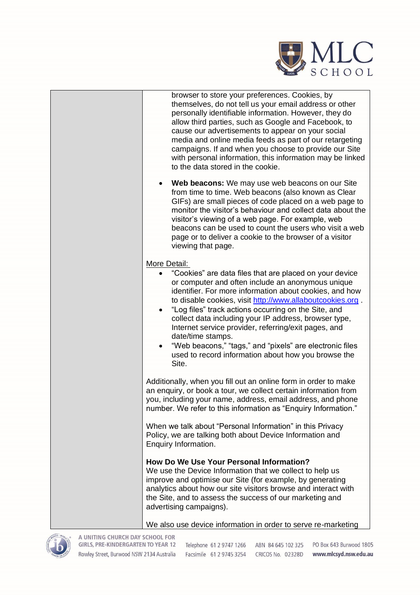

| browser to store your preferences. Cookies, by<br>themselves, do not tell us your email address or other<br>personally identifiable information. However, they do<br>allow third parties, such as Google and Facebook, to<br>cause our advertisements to appear on your social<br>media and online media feeds as part of our retargeting<br>campaigns. If and when you choose to provide our Site<br>with personal information, this information may be linked<br>to the data stored in the cookie.                                                                                        |
|---------------------------------------------------------------------------------------------------------------------------------------------------------------------------------------------------------------------------------------------------------------------------------------------------------------------------------------------------------------------------------------------------------------------------------------------------------------------------------------------------------------------------------------------------------------------------------------------|
| Web beacons: We may use web beacons on our Site<br>$\bullet$<br>from time to time. Web beacons (also known as Clear<br>GIFs) are small pieces of code placed on a web page to<br>monitor the visitor's behaviour and collect data about the<br>visitor's viewing of a web page. For example, web<br>beacons can be used to count the users who visit a web<br>page or to deliver a cookie to the browser of a visitor<br>viewing that page.                                                                                                                                                 |
| More Detail:<br>"Cookies" are data files that are placed on your device<br>or computer and often include an anonymous unique<br>identifier. For more information about cookies, and how<br>to disable cookies, visit http://www.allaboutcookies.org.<br>"Log files" track actions occurring on the Site, and<br>$\bullet$<br>collect data including your IP address, browser type,<br>Internet service provider, referring/exit pages, and<br>date/time stamps.<br>"Web beacons," "tags," and "pixels" are electronic files<br>used to record information about how you browse the<br>Site. |
| Additionally, when you fill out an online form in order to make<br>an enquiry, or book a tour, we collect certain information from<br>you, including your name, address, email address, and phone<br>number. We refer to this information as "Enquiry Information."                                                                                                                                                                                                                                                                                                                         |
| When we talk about "Personal Information" in this Privacy<br>Policy, we are talking both about Device Information and<br>Enquiry Information.                                                                                                                                                                                                                                                                                                                                                                                                                                               |
| How Do We Use Your Personal Information?<br>We use the Device Information that we collect to help us<br>improve and optimise our Site (for example, by generating<br>analytics about how our site visitors browse and interact with<br>the Site, and to assess the success of our marketing and<br>advertising campaigns).                                                                                                                                                                                                                                                                  |
|                                                                                                                                                                                                                                                                                                                                                                                                                                                                                                                                                                                             |





A UNITING CHURCH DAY SCHOOL FOR GIRLS, PRE-KINDERGARTEN TO YEAR 12 Rowley Street, Burwood NSW 2134 Australia

Telephone 61 2 9747 1266 ABN 84 645 102 325 PO Box 643 Burwood 1805 Facsimile 61 2 9745 3254 CRICOS No. 02328D www.mlcsyd.nsw.edu.au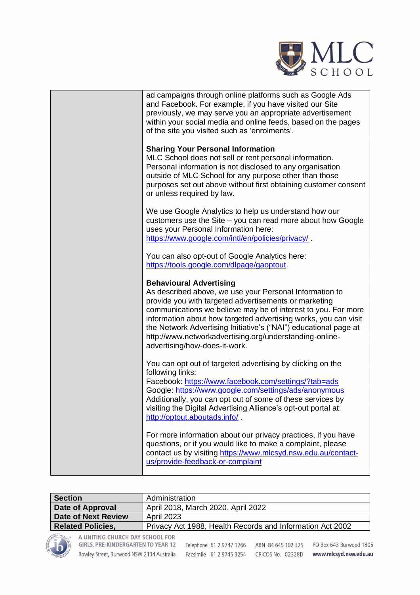

| ad campaigns through online platforms such as Google Ads<br>and Facebook. For example, if you have visited our Site<br>previously, we may serve you an appropriate advertisement<br>within your social media and online feeds, based on the pages<br>of the site you visited such as 'enrolments'.                                                                                                                                                     |
|--------------------------------------------------------------------------------------------------------------------------------------------------------------------------------------------------------------------------------------------------------------------------------------------------------------------------------------------------------------------------------------------------------------------------------------------------------|
| <b>Sharing Your Personal Information</b><br>MLC School does not sell or rent personal information.<br>Personal information is not disclosed to any organisation<br>outside of MLC School for any purpose other than those<br>purposes set out above without first obtaining customer consent<br>or unless required by law.                                                                                                                             |
| We use Google Analytics to help us understand how our<br>customers use the Site – you can read more about how Google<br>uses your Personal Information here:<br>https://www.google.com/intl/en/policies/privacy/                                                                                                                                                                                                                                       |
| You can also opt-out of Google Analytics here:<br>https://tools.google.com/dlpage/gaoptout.                                                                                                                                                                                                                                                                                                                                                            |
| <b>Behavioural Advertising</b><br>As described above, we use your Personal Information to<br>provide you with targeted advertisements or marketing<br>communications we believe may be of interest to you. For more<br>information about how targeted advertising works, you can visit<br>the Network Advertising Initiative's ("NAI") educational page at<br>http://www.networkadvertising.org/understanding-online-<br>advertising/how-does-it-work. |
| You can opt out of targeted advertising by clicking on the<br>following links:<br>Facebook: https://www.facebook.com/settings/?tab=ads<br>Google: https://www.google.com/settings/ads/anonymous<br>Additionally, you can opt out of some of these services by<br>visiting the Digital Advertising Alliance's opt-out portal at:<br>http://optout.aboutads.info/                                                                                        |
| For more information about our privacy practices, if you have<br>questions, or if you would like to make a complaint, please<br>contact us by visiting https://www.mlcsyd.nsw.edu.au/contact-<br>us/provide-feedback-or-complaint                                                                                                                                                                                                                      |

| <b>Section</b>                                        | Administration                     |  |                          |  |                                                           |                         |
|-------------------------------------------------------|------------------------------------|--|--------------------------|--|-----------------------------------------------------------|-------------------------|
| <b>Date of Approval</b>                               | April 2018, March 2020, April 2022 |  |                          |  |                                                           |                         |
| <b>Date of Next Review</b>                            | <b>April 2023</b>                  |  |                          |  |                                                           |                         |
| <b>Related Policies,</b>                              |                                    |  |                          |  | Privacy Act 1988, Health Records and Information Act 2002 |                         |
| STAWNOO . WORLD SO<br>A UNITING CHURCH DAY SCHOOL FOR | GIRLS, PRE-KINDERGARTEN TO YEAR 12 |  | Telephone 61 2 9747 1266 |  | ABN 84 645 102 325                                        | PO Box 643 Burwood 1805 |

Rowley Street, Burwood NSW 2134 Australia Facsimile 61 2 9745 3254 CRICOS No. 02328D www.mlcsyd.nsw.edu.au